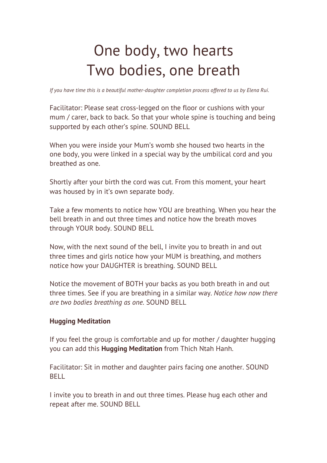## One body, two hearts Two bodies, one breath

*If you have time this is a beautiful mother-daughter completion process offered to us by Elena Rui.*

Facilitator: Please seat cross-legged on the floor or cushions with your mum / carer, back to back. So that your whole spine is touching and being supported by each other's spine. SOUND BELL

When you were inside your Mum's womb she housed two hearts in the one body, you were linked in a special way by the umbilical cord and you breathed as one.

Shortly after your birth the cord was cut. From this moment, your heart was housed by in it's own separate body.

Take a few moments to notice how YOU are breathing. When you hear the bell breath in and out three times and notice how the breath moves through YOUR body. SOUND BELL

Now, with the next sound of the bell, I invite you to breath in and out three times and girls notice how your MUM is breathing, and mothers notice how your DAUGHTER is breathing. SOUND BELL

Notice the movement of BOTH your backs as you both breath in and out three times. See if you are breathing in a similar way. *Notice how now there are two bodies breathing as one.* SOUND BELL

## **Hugging Meditation**

If you feel the group is comfortable and up for mother / daughter hugging you can add this **Hugging Meditation** from Thich Ntah Hanh.

Facilitator: Sit in mother and daughter pairs facing one another. SOUND BELL

I invite you to breath in and out three times. Please hug each other and repeat after me. SOUND BELL